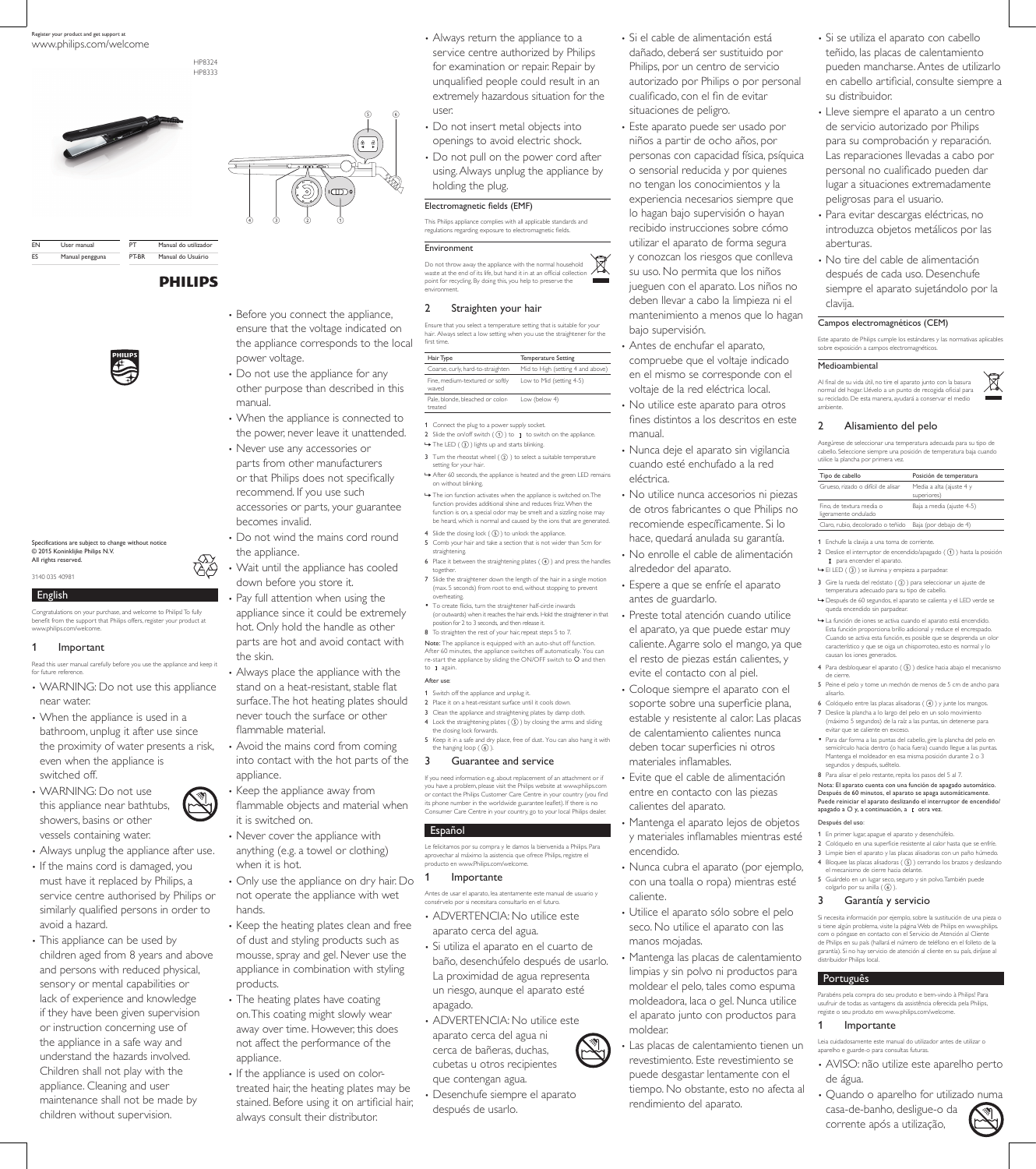## English

Congratulations on your purchase, and welcome to Philips! To fully benefit from the support that Philips offers, register your product at www.philips.com/welcome.

### 1 Important

Read this user manual carefully before you use the appliance and keep it for future reference.

- WARNING: Do not use this appliance near water.
- When the appliance is used in a bathroom, unplug it after use since the proximity of water presents a risk, even when the appliance is switched off.
- WARNING: Do not use this appliance near bathtubs, showers, basins or other vessels containing water.
- Before you connect the appliance, ensure that the voltage indicated on the appliance corresponds to the local power voltage.
- Do not use the appliance for any other purpose than described in this manual.
- When the appliance is connected to the power, never leave it unattended.
- Never use any accessories or parts from other manufacturers or that Philips does not specifically recommend. If you use such accessories or parts, your guarantee becomes invalid.
- Do not wind the mains cord round the appliance.
- Wait until the appliance has cooled down before you store it.
- Pay full attention when using the appliance since it could be extremely hot. Only hold the handle as other parts are hot and avoid contact with the skin.
- Always place the appliance with the stand on a heat-resistant, stable flat surface. The hot heating plates should never touch the surface or other flammable material.
- Avoid the mains cord from coming into contact with the hot parts of the appliance.
- Keep the appliance away from flammable objects and material when it is switched on.
- Never cover the appliance with

- Always unplug the appliance after use. • If the mains cord is damaged, you must have it replaced by Philips, a service centre authorised by Philips or similarly qualified persons in order to avoid a hazard.
- This appliance can be used by children aged from 8 years and above and persons with reduced physical, sensory or mental capabilities or lack of experience and knowledge if they have been given supervision or instruction concerning use of the appliance in a safe way and understand the hazards involved. Children shall not play with the appliance. Cleaning and user maintenance shall not be made by children without supervision.
- anything (e.g. a towel or clothing) when it is hot.
- Only use the appliance on dry hair. Do not operate the appliance with wet hands.
- Keep the heating plates clean and free of dust and styling products such as mousse, spray and gel. Never use the appliance in combination with styling products.
- The heating plates have coating on. This coating might slowly wear away over time. However, this does not affect the performance of the appliance.
- If the appliance is used on colortreated hair, the heating plates may be stained. Before using it on artificial hair, always consult their distributor.

Note: The appliance is equipped with an auto-shut off function. After 60 minutes, the appliance switches off automatically. You can re-start the appliance by sliding the ON/OFF switch to  $\circ$  and then to **I** again

- After use:
- 1 Switch off the appliance and unplug it.
- 2 Place it on a heat-resistant surface until it cools down.
- 3 Clean the appliance and straightening plates by damp cloth. 4 Lock the straightening plates  $( \overline{6} )$  by closing the arms and sliding the closing lock forwards.
- 5 Keep it in a safe and dry place, free of dust. You can also hang it with the hanging loop  $( 6)$ .
- Always return the appliance to a service centre authorized by Philips for examination or repair. Repair by unqualified people could result in an extremely hazardous situation for the user.
- Do not insert metal objects into openings to avoid electric shock.
- Do not pull on the power cord after using. Always unplug the appliance by holding the plug.

#### Electromagnetic fields (EMF)

This Philips appliance complies with all applicable standards and regulations regarding exposure to electromagnetic fields.

#### Environment

Do not throw away the appliance with the normal household waste at the end of its life, but hand it in at an official collection point for recycling. By doing this, you help to preserve the environment.

## 2 Straighten your hair

Ensure that you select a temperature setting that is suitable for your hair. Always select a low setting when you use the straightener for the first time.

| Hair Type                                   | Temperature Setting               |
|---------------------------------------------|-----------------------------------|
| Coarse, curly, hard-to-straighten           | Mid to High (setting 4 and above) |
| Fine, medium-textured or softly<br>waved    | Low to Mid (setting 4-5)          |
| Pale, blonde, bleached or color-<br>treated | Low (below 4)                     |

1 Connect the plug to a power supply socket.

- 2 Slide the on/off switch  $( 0 )$  to I to switch on the appliance.
- $\rightarrow$  The LED ( $\circled{3}$ ) lights up and starts blinking.
- 3 Turn the rheostat wheel  $(2)$  ) to select a suitable temperature setting for your hair
- » After 60 seconds, the appliance is heated and the green LED remains on without blinking.
- » The ion function activates when the appliance is switched on. The function provides additional shine and reduces frizz. When the function is on, a special odor may be smelt and a sizzling noise may be heard, which is normal and caused by the ions that are generated.
- 4 Slide the closing lock  $(\mathcal{S})$  to unlock the appliance. 5 Comb your hair and take a section that is not wider than 5cm for straightening.
- 6 Place it between the straightening plates  $( 4)$  and press the handles together.
- 7 Slide the straightener down the length of the hair in a single motion (max. 5 seconds) from root to end, without stopping to prevent overheating.
- To create flicks, turn the straightener half-circle inwards (or outwards) when it reaches the hair ends. Hold the straightener in that position for 2 to 3 seconds, and then release it.
- 8 To straighten the rest of your hair, repeat steps 5 to 7.
- 1 Enchufe la clavija a una toma de corriente.
- 2 Deslice el interruptor de encendido/apagado  $($   $($   $)$  $)$  hasta la posición I para encender el aparato.
- $\mapsto$  El LED  $($  3 $)$  se ilumina y empieza a parpadear.
- 3 Gire la rueda del reóstato  $($   $($   $)$   $)$  para seleccionar un ajuste de temperatura adecuado para su tipo de cabello.
- » Después de 60 segundos, el aparato se calienta y el LED verde se queda encendido sin parpadear.
- » La función de iones se activa cuando el aparato está encendido. Esta función proporciona brillo adicional y reduce el encrespado. Cuando se activa esta función, es posible que se desprenda un olor característico y que se oiga un chisporroteo, esto es normal y lo causan los iones generados.
- 4 Para desbloquear el aparato  $( \, \mathbb{S} \, )$  deslice hacia abajo el mecanismo de cierre.
- 5 Peine el pelo y tome un mechón de menos de 5 cm de ancho para alisarlo.
- 6 Colóquelo entre las placas alisadoras  $(\overline{4})$  y junte los mangos.
- 7 Deslice la plancha a lo largo del pelo en un solo movimiento (máximo 5 segundos) de la raíz a las puntas, sin detenerse para evitar que se caliente en exceso. • Para dar forma a las puntas del cabello, gire la plancha del pelo en
- semicírculo hacia dentro (o hacia fuera) cuando llegue a las puntas. Mantenga el moldeador en esa misma posición durante 2 o 3 segundos y después, suéltelo.
- 8 Para alisar el pelo restante, repita los pasos del 5 al 7.

## 3 Guarantee and service

If you need information e.g. about replacement of an attachment or if you have a problem, please visit the Philips website at www.philips.com or contact the Philips Customer Care Centre in your country (you find its phone number in the worldwide guarantee leaflet). If there is no Consumer Care Centre in your country, go to your local Philips dealer.

#### Nota: El aparato cuenta con una función de apagado automático. Después de 60 minutos, el aparato se apaga automáticamente. Puede reiniciar el aparato deslizando el interruptor de encendido/ apagado a  $\bigcirc$  y, a continuación, a  $I$  otra vez.

Español

Le felicitamos por su compra y le damos la bienvenida a Philips. Para aprovechar al máximo la asistencia que ofrece Philips, registre el producto en www.Philips.com/welcome.

## 1 Importante

Antes de usar el aparato, lea atentamente este manual de usuario y consérvelo por si necesitara consultarlo en el futuro.

- ADVERTENCIA: No utilice este aparato cerca del agua.
- Si utiliza el aparato en el cuarto de baño, desenchúfelo después de usarlo. La proximidad de agua representa un riesgo, aunque el aparato esté apagado.
- ADVERTENCIA: No utilice este aparato cerca del agua ni cerca de bañeras, duchas, cubetas u otros recipientes que contengan agua.

• Desenchufe siempre el aparato después de usarlo.

- Si el cable de alimentación está dañado, deberá ser sustituido por Philips, por un centro de servicio autorizado por Philips o por personal cualificado, con el fin de evitar situaciones de peligro.
- Este aparato puede ser usado por niños a partir de ocho años, por personas con capacidad física, psíquica o sensorial reducida y por quienes no tengan los conocimientos y la experiencia necesarios siempre que lo hagan bajo supervisión o hayan recibido instrucciones sobre cómo utilizar el aparato de forma segura y conozcan los riesgos que conlleva su uso. No permita que los niños jueguen con el aparato. Los niños no deben llevar a cabo la limpieza ni el mantenimiento a menos que lo hagan bajo supervisión.
- Antes de enchufar el aparato, compruebe que el voltaje indicado en el mismo se corresponde con el voltaje de la red eléctrica local.
- No utilice este aparato para otros fines distintos a los descritos en este manual.
- Nunca deje el aparato sin vigilancia cuando esté enchufado a la red eléctrica.
- No utilice nunca accesorios ni piezas de otros fabricantes o que Philips no recomiende específicamente. Si lo hace, quedará anulada su garantía.
- No enrolle el cable de alimentación alrededor del aparato.
- Espere a que se enfríe el aparato antes de guardarlo.
- Preste total atención cuando utilice el aparato, ya que puede estar muy caliente. Agarre solo el mango, ya que el resto de piezas están calientes, y evite el contacto con al piel.
- Coloque siempre el aparato con el soporte sobre una superficie plana, estable y resistente al calor. Las placas de calentamiento calientes nunca deben tocar superficies ni otros materiales inflamables.

• Evite que el cable de alimentación entre en contacto con las piezas calientes del aparato.

• Mantenga el aparato lejos de objetos y materiales inflamables mientras esté

## encendido.

- Nunca cubra el aparato (por ejemplo, con una toalla o ropa) mientras esté caliente.
- Utilice el aparato sólo sobre el pelo seco. No utilice el aparato con las manos mojadas.
- Mantenga las placas de calentamiento limpias y sin polvo ni productos para moldear el pelo, tales como espuma moldeadora, laca o gel. Nunca utilice el aparato junto con productos para moldear.



- ielo en una superficie resistente al calor hasta que se enfríe
- 3 Limpie bien el aparato y las placas alisadoras con un paño húmedo.
- 4 Bloquee las placas alisadoras  $( \, \textcircled{s} \, )$  cerrando los brazos y deslizando el mecanismo de cierre hacia delante.
- 5 Guárdelo en un lugar seco, seguro y sin polvo. También puede colgarlo por su anilla  $( 6)$ .





Specifications are subject to change without notice © 2015 Koninklijke Philips N.V. All rights reserved.

3140 035 40981

| FN  | User manual     | PТ    | Manual do utilizador |
|-----|-----------------|-------|----------------------|
| FS. | Manual pengguna | PT-BR | Manual do Usuário    |
|     |                 |       |                      |

**PHILIPS** 





- Si se utiliza el aparato con cabello teñido, las placas de calentamiento pueden mancharse. Antes de utilizarlo en cabello artificial, consulte siempre a su distribuidor.
- Lleve siempre el aparato a un centro de servicio autorizado por Philips para su comprobación y reparación. Las reparaciones llevadas a cabo por personal no cualificado pueden dar lugar a situaciones extremadamente peligrosas para el usuario.
- Para evitar descargas eléctricas, no introduzca objetos metálicos por las aberturas.
- No tire del cable de alimentación después de cada uso. Desenchufe siempre el aparato sujetándolo por la clavija.

## Campos electromagnéticos (CEM)

Este aparato de Philips cumple los estándares y las normativas aplicables sobre exposición a campos electromagnéticos.

### Medioambiental

Al final de su vida útil, no tire el aparato junto con la basura normal del hogar. Llévelo a un punto de recogida oficial para su reciclado. De esta manera, ayudará a conservar el medio ambiente.

## 2 Alisamiento del pelo

Asegúrese de seleccionar una temperatura adecuada para su tipo de cabello. Seleccione siempre una posición de temperatura baja cuando utilice la plancha por primera vez.

| Tipo de cabello                                  | Posición de temperatura                 |
|--------------------------------------------------|-----------------------------------------|
| Grueso, rizado o difícil de alisar               | Media a alta (ajuste 4 y<br>superiores) |
| Fino, de textura media o<br>ligeramente ondulado | Baja a media (ajuste 4-5)               |
| Claro, rubio, decolorado o teñido                | Baja (por debajo de 4)                  |
|                                                  |                                         |

## Después del uso:

1 En primer lugar, apague el aparato y desenchúfelo.

### 3 Garantía y servicio

Si necesita información por ejemplo, sobre la sustitución de una pieza o si tiene algún problema, visite la página Web de Philips en www.philips. com o póngase en contacto con el Servicio de Atención al Cliente de Philips en su país (hallará el número de teléfono en el folleto de la garantía). Si no hay servicio de atención al cliente en su país, diríjase al distribuidor Philips local.

## **Português**

Parabéns pela compra do seu produto e bem-vindo à Philips! Para usufruir de todas as vantagens da assistência oferecida pela Philips, registe o seu produto em www.philips.com/welcome.

## 1 Importante

Leia cuidadosamente este manual do utilizador antes de utilizar o aparelho e guarde-o para consultas futuras.

- AVISO: não utilize este aparelho perto de água.
- Quando o aparelho for utilizado numa casa-de-banho, desligue-o da corrente após a utilização,